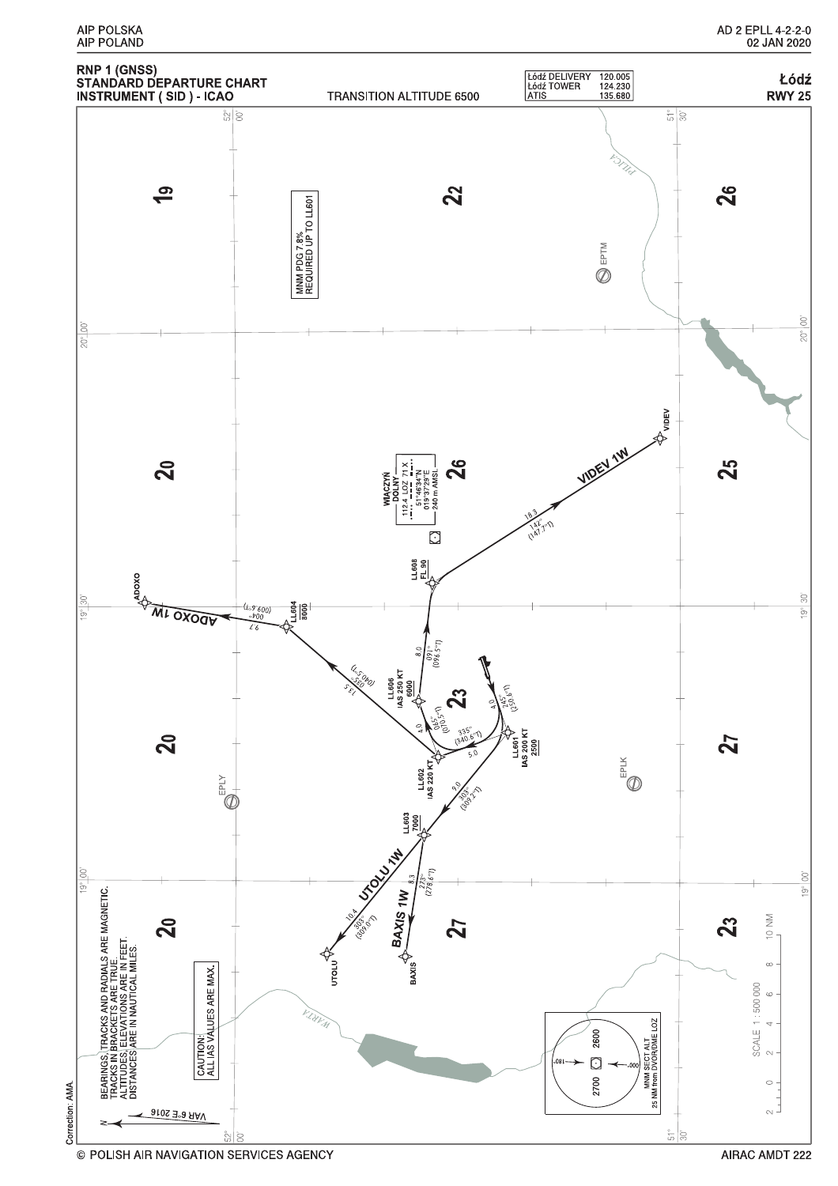$\hat{S}$ 

 $\frac{1}{2}$ 

 $\sum_{i=1}^{n}$ 

 $20^{\circ}$ 

 $\overline{\sigma}$ 

 $\frac{1}{100}$ 

Correction AMA

BEARINGS, ITRACKS AND RADIALS ARE MAGNETIC.<br>TRACKS IN BRACKETS ARE TRUE.<br>DISTANCES ARE IN INAUTICAL MILES.<br>DISTANCES ARE IN INAUTICAL MILES.

**BOXOOL ML OXOOL** 

 $20$ 

 $\mathbf{S}$ 

 $\bigoplus_{i=1}^{n-1} \bigoplus_{i=1}^{n}$ 

**1-604**<br>8000

∘9`600,<br>∘⊅0∩



LL608<br>EL 90

 $14.8350 KT$ 

s.opoj

 $(096.5 -)$ 

¢

LL602<br>IAS 220 KT

55

 $\overline{\mathbf{2}}$ 

LL603<br>7000

**STORY MAN** 

UTOLU<sup>T</sup>

**BAXIS 1W** 

BAXIS<sup>V</sup>

 $23$ 

 $(150.6^{\circ})$ 

 $\begin{array}{r} \text{L}.\text{601} \\ \text{L} \text{8200 K} \\ \text{M} \text{5200 K} \\ \text{2500} \end{array}$ 

VAR 6°E 2016

CAUTION:<br>ALL IAS VALUES ARE MAX.

 $\mathbf{Z}$ 

 $\bigoplus_{i=1}^{N} \bigoplus_{i=1}^{N}$